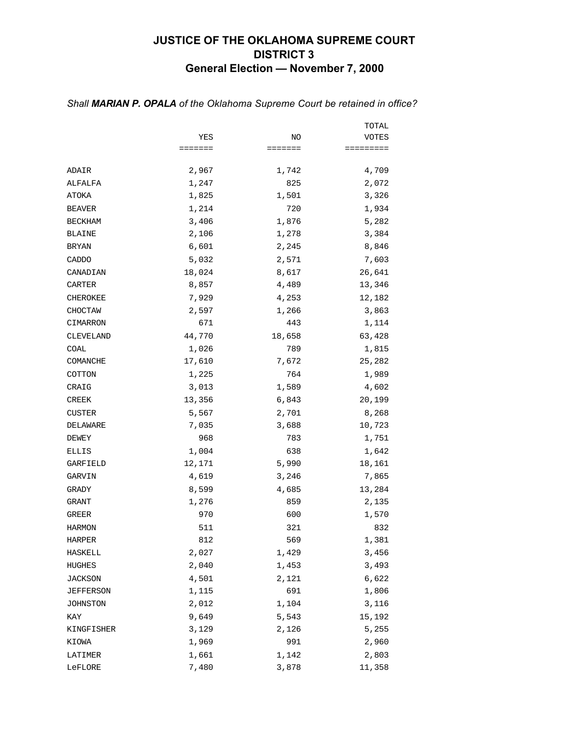## **JUSTICE OF THE OKLAHOMA SUPREME COURT DISTRICT 3 General Election — November 7, 2000**

|                |         |                | TOTAL     |
|----------------|---------|----------------|-----------|
|                | YES     | ΝO             | VOTES     |
|                | ======= | <b>EEEEEEE</b> | ========= |
| ADAIR          | 2,967   | 1,742          | 4,709     |
| ALFALFA        | 1,247   | 825            | 2,072     |
| ATOKA          | 1,825   | 1,501          | 3,326     |
| <b>BEAVER</b>  | 1,214   | 720            | 1,934     |
| <b>BECKHAM</b> | 3,406   | 1,876          | 5,282     |
| BLAINE         | 2,106   | 1,278          | 3,384     |
| <b>BRYAN</b>   | 6,601   | 2,245          | 8,846     |
| CADDO          | 5,032   | 2,571          | 7,603     |
| CANADIAN       | 18,024  | 8,617          | 26,641    |
| CARTER         | 8,857   | 4,489          | 13,346    |
| CHEROKEE       | 7,929   | 4,253          | 12,182    |
| CHOCTAW        | 2,597   | 1,266          | 3,863     |
| CIMARRON       | 671     | 443            | 1,114     |
| CLEVELAND      | 44,770  | 18,658         | 63,428    |
| COAL           | 1,026   | 789            | 1,815     |
| COMANCHE       | 17,610  | 7,672          | 25,282    |
| COTTON         | 1,225   | 764            | 1,989     |
| CRAIG          | 3,013   | 1,589          | 4,602     |
| CREEK          | 13,356  | 6,843          | 20,199    |
| <b>CUSTER</b>  | 5,567   | 2,701          | 8,268     |
| DELAWARE       | 7,035   | 3,688          | 10,723    |
| DEWEY          | 968     | 783            | 1,751     |
| ELLIS          | 1,004   | 638            | 1,642     |
| GARFIELD       | 12,171  | 5,990          | 18,161    |
| GARVIN         | 4,619   | 3,246          | 7,865     |
| GRADY          | 8,599   | 4,685          | 13,284    |
| GRANT          | 1,276   | 859            | 2,135     |
| GREER          | 970     | 600            | 1,570     |
| <b>HARMON</b>  | 511     | 321            | 832       |
| HARPER         | 812     | 569            | 1,381     |
| HASKELL        | 2,027   | 1,429          | 3,456     |
| HUGHES         | 2,040   | 1,453          | 3,493     |
| JACKSON        | 4,501   | 2,121          | 6,622     |
| JEFFERSON      | 1,115   | 691            | 1,806     |
| JOHNSTON       | 2,012   | 1,104          | 3,116     |
| KAY            | 9,649   | 5,543          | 15,192    |
| KINGFISHER     | 3,129   | 2,126          | 5,255     |
| KIOWA          | 1,969   | 991            | 2,960     |
| LATIMER        | 1,661   | 1,142          | 2,803     |
| LeFLORE        | 7,480   | 3,878          | 11,358    |

#### *Shall MARIAN P. OPALA of the Oklahoma Supreme Court be retained in office?*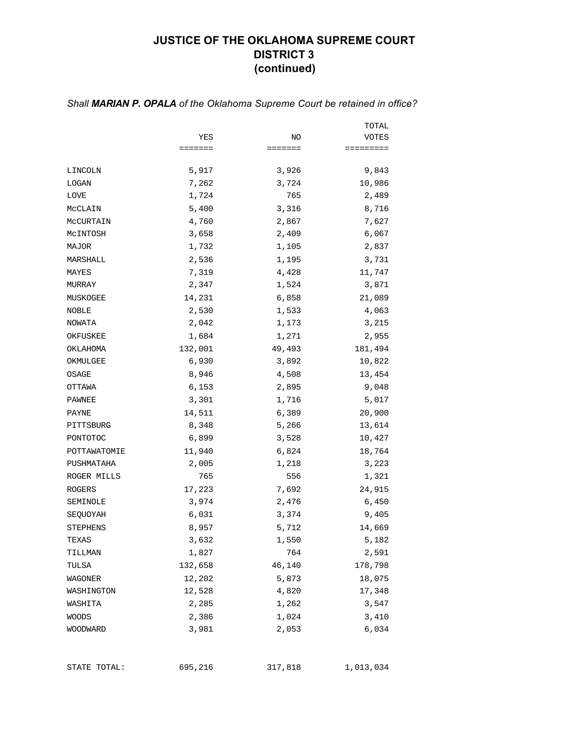### **JUSTICE OF THE OKLAHOMA SUPREME COURT DISTRICT 3 (continued)**

#### TOTAL YES NO VOTES ======= ======= ========= LINCOLN 5,917 3,926 9,843 LOGAN 7,262 3,724 10,986  $L$ OVE 2,489 McCLAIN 5,400 3,316 8,716 McCURTAIN 4,760 2,867 7,627 McINTOSH 3,658 2,409 6,067 MAJOR 1,732 1,105 2,837 MARSHALL 2,536 1,195 3,731 MAYES 2001 11,747 7,319 4,428 11,747 MURRAY 2,347 1,524 3,871 MUSKOGEE 14,231 6,858 21,089 NOBLE 2,530 1,533 4,063 NOWATA 2,042 1,173 3,215 OKFUSKEE 1,684 1,271 2,955 OKLAHOMA 132,001 49,493 181,494 OKMULGEE 6,930 3,892 10,822 OSAGE 8,946 4,508 13,454 OTTAWA 6,153 2,895 9,048 PAWNEE 3,301 1,716 5,017 PAYNE 14,511 6,389 20,900 PITTSBURG 8,348 5,266 13,614 PONTOTOC 6,899 3,528 10,427 POTTAWATOMIE 11,940 6,824 18,764 PUSHMATAHA 2,005 1,218 3,223 ROGER MILLS 765 556 1,321 ROGERS 17,223 7,692 24,915 SEMINOLE 3,974 2,476 6,450 SEQUOYAH 6,031 3,374 9,405 STEPHENS 8,957 5,712 14,669 TEXAS 5,182 1,550 5,182 TILLMAN 1,827 764 2,591 TULSA 132,658 46,140 178,798 WAGONER 12,202 5,873 18,075 WASHINGTON 12,528 4,820 17,348 WASHITA 2,285 1,262 3,547 WOODS 2,386 1,024 3,410 WOODWARD 3,981 2,053 6,034

#### *Shall MARIAN P. OPALA of the Oklahoma Supreme Court be retained in office?*

STATE TOTAL: 695,216 317,818 1,013,034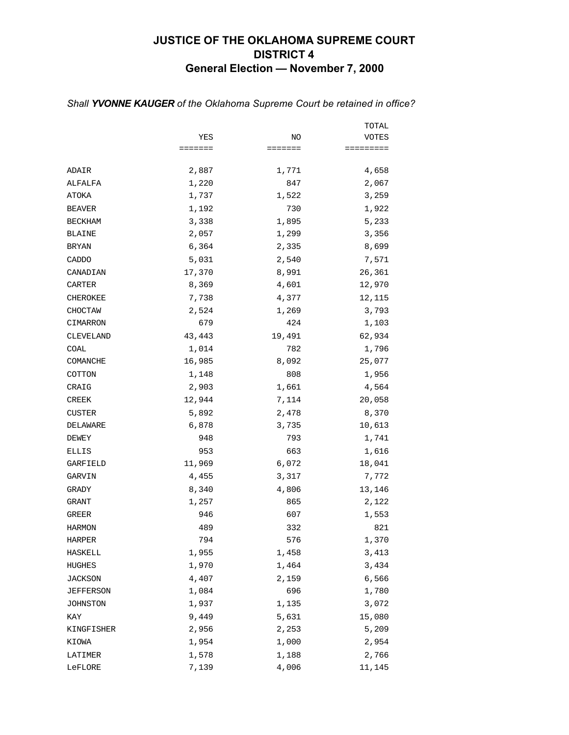## **JUSTICE OF THE OKLAHOMA SUPREME COURT DISTRICT 4 General Election — November 7, 2000**

|                |                 |         | TOTAL               |
|----------------|-----------------|---------|---------------------|
|                | YES             | NO      | VOTES               |
|                | $=$ = = = = = = | ======= | $=$ = = = = = = = = |
| ADAIR          | 2,887           | 1,771   | 4,658               |
| ALFALFA        | 1,220           | 847     | 2,067               |
| ATOKA          | 1,737           | 1,522   | 3,259               |
| <b>BEAVER</b>  | 1,192           | 730     | 1,922               |
| <b>BECKHAM</b> | 3,338           | 1,895   | 5,233               |
| <b>BLAINE</b>  | 2,057           | 1,299   | 3,356               |
| BRYAN          | 6,364           | 2,335   | 8,699               |
| CADDO          | 5,031           | 2,540   | 7,571               |
| CANADIAN       | 17,370          | 8,991   | 26,361              |
| CARTER         | 8,369           | 4,601   | 12,970              |
| CHEROKEE       | 7,738           | 4,377   | 12,115              |
| CHOCTAW        | 2,524           | 1,269   | 3,793               |
| CIMARRON       | 679             | 424     | 1,103               |
| CLEVELAND      | 43,443          | 19,491  | 62,934              |
| COAL           | 1,014           | 782     | 1,796               |
| COMANCHE       | 16,985          | 8,092   | 25,077              |
| COTTON         | 1,148           | 808     | 1,956               |
| CRAIG          | 2,903           | 1,661   | 4,564               |
| <b>CREEK</b>   | 12,944          | 7,114   | 20,058              |
| <b>CUSTER</b>  | 5,892           | 2,478   | 8,370               |
| DELAWARE       | 6,878           | 3,735   | 10,613              |
| DEWEY          | 948             | 793     | 1,741               |
| ELLIS          | 953             | 663     | 1,616               |
| GARFIELD       | 11,969          | 6,072   | 18,041              |
| GARVIN         | 4,455           | 3,317   | 7,772               |
| GRADY          | 8,340           | 4,806   | 13,146              |
| GRANT          | 1,257           | 865     | 2,122               |
| <b>GREER</b>   | 946             | 607     | 1,553               |
| <b>HARMON</b>  | 489             | 332     | 821                 |
| HARPER         | 794             | 576     | 1,370               |
| HASKELL        | 1,955           | 1,458   | 3,413               |
| HUGHES         | 1,970           | 1,464   | 3,434               |
| <b>JACKSON</b> | 4,407           | 2,159   | 6,566               |
| JEFFERSON      | 1,084           | 696     | 1,780               |
| JOHNSTON       | 1,937           | 1,135   | 3,072               |
| KAY            | 9,449           | 5,631   | 15,080              |
| KINGFISHER     | 2,956           | 2,253   | 5,209               |
| KIOWA          | 1,954           | 1,000   | 2,954               |
| LATIMER        | 1,578           | 1,188   | 2,766               |
| LeFLORE        | 7,139           | 4,006   | 11,145              |

### *Shall YVONNE KAUGER of the Oklahoma Supreme Court be retained in office?*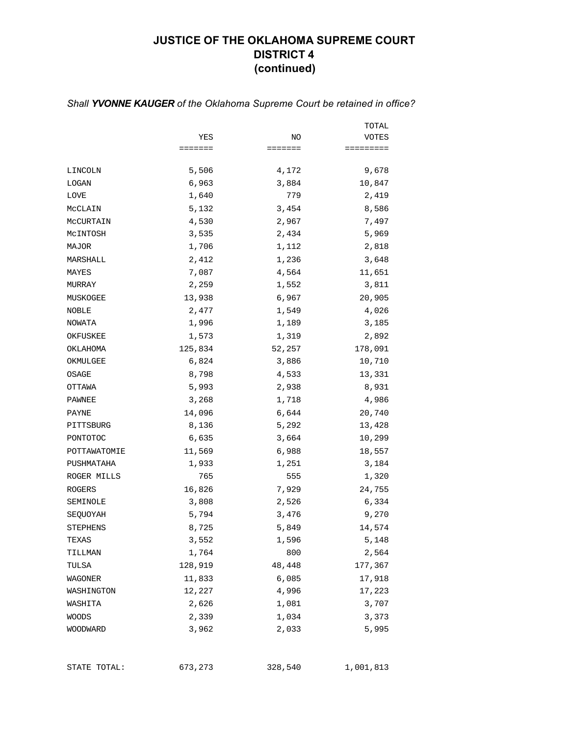# **JUSTICE OF THE OKLAHOMA SUPREME COURT DISTRICT 4 (continued)**

|                 |                 |         | TOTAL     |
|-----------------|-----------------|---------|-----------|
|                 | YES             | NO      | VOTES     |
|                 | $=$ = = = = = = | ======= | ========= |
| LINCOLN         | 5,506           | 4,172   | 9,678     |
| LOGAN           | 6,963           | 3,884   | 10,847    |
| LOVE            | 1,640           | 779     | 2,419     |
| MCCLAIN         | 5,132           | 3,454   | 8,586     |
| MCCURTAIN       | 4,530           | 2,967   | 7,497     |
| MCINTOSH        | 3,535           | 2,434   | 5,969     |
| MAJOR           | 1,706           | 1,112   | 2,818     |
| MARSHALL        | 2,412           | 1,236   | 3,648     |
| MAYES           | 7,087           | 4,564   | 11,651    |
| MURRAY          | 2,259           | 1,552   | 3,811     |
| MUSKOGEE        | 13,938          | 6,967   | 20,905    |
| NOBLE           | 2,477           | 1,549   | 4,026     |
| NOWATA          | 1,996           | 1,189   | 3,185     |
| OKFUSKEE        | 1,573           | 1,319   | 2,892     |
| OKLAHOMA        | 125,834         | 52,257  | 178,091   |
| OKMULGEE        | 6,824           | 3,886   | 10,710    |
| OSAGE           | 8,798           | 4,533   | 13,331    |
| OTTAWA          | 5,993           | 2,938   | 8,931     |
| PAWNEE          | 3,268           | 1,718   | 4,986     |
| PAYNE           | 14,096          | 6,644   | 20,740    |
| PITTSBURG       | 8,136           | 5,292   | 13,428    |
| PONTOTOC        | 6,635           | 3,664   | 10,299    |
| POTTAWATOMIE    | 11,569          | 6,988   | 18,557    |
| PUSHMATAHA      | 1,933           | 1,251   | 3,184     |
| ROGER MILLS     | 765             | 555     | 1,320     |
| ROGERS          | 16,826          | 7,929   | 24,755    |
| SEMINOLE        | 3,808           | 2,526   | 6,334     |
| SEQUOYAH        | 5,794           | 3,476   | 9,270     |
| <b>STEPHENS</b> | 8,725           | 5,849   | 14,574    |
| TEXAS           | 3,552           | 1,596   | 5,148     |
| TILLMAN         | 1,764           | 800     | 2,564     |
| TULSA           | 128,919         | 48,448  | 177,367   |
| WAGONER         | 11,833          | 6,085   | 17,918    |
| WASHINGTON      | 12,227          | 4,996   | 17,223    |
| WASHITA         | 2,626           | 1,081   | 3,707     |
| WOODS           | 2,339           | 1,034   | 3,373     |
| WOODWARD        | 3,962           | 2,033   | 5,995     |

#### *Shall YVONNE KAUGER of the Oklahoma Supreme Court be retained in office?*

STATE TOTAL: 673,273 328,540 1,001,813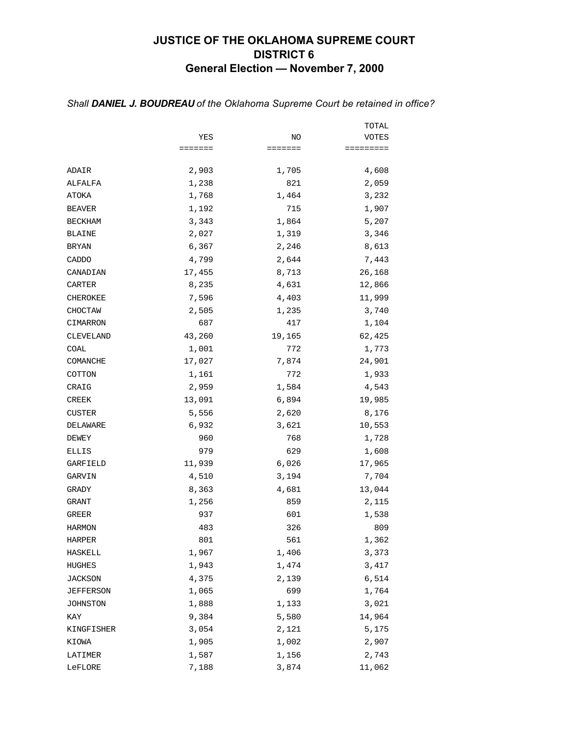## **JUSTICE OF THE OKLAHOMA SUPREME COURT DISTRICT 6 General Election — November 7, 2000**

|                |         |         | TOTAL     |
|----------------|---------|---------|-----------|
|                | YES     | NO      | VOTES     |
|                | ======= | ======= | ========= |
| ADAIR          | 2,903   | 1,705   | 4,608     |
| ALFALFA        | 1,238   | 821     | 2,059     |
| ATOKA          | 1,768   | 1,464   | 3,232     |
| <b>BEAVER</b>  | 1,192   | 715     | 1,907     |
| <b>BECKHAM</b> | 3,343   | 1,864   | 5,207     |
| <b>BLAINE</b>  | 2,027   | 1,319   | 3,346     |
| <b>BRYAN</b>   | 6,367   | 2,246   | 8,613     |
| CADDO          | 4,799   | 2,644   | 7,443     |
| CANADIAN       | 17,455  | 8,713   | 26,168    |
| CARTER         | 8,235   | 4,631   | 12,866    |
| CHEROKEE       | 7,596   | 4,403   | 11,999    |
| CHOCTAW        | 2,505   | 1,235   | 3,740     |
| CIMARRON       | 687     | 417     | 1,104     |
| CLEVELAND      | 43,260  | 19,165  | 62,425    |
| COAL           | 1,001   | 772     | 1,773     |
| COMANCHE       | 17,027  | 7,874   | 24,901    |
| COTTON         | 1,161   | 772     | 1,933     |
| CRAIG          | 2,959   | 1,584   | 4,543     |
| <b>CREEK</b>   | 13,091  | 6,894   | 19,985    |
| <b>CUSTER</b>  | 5,556   | 2,620   | 8,176     |
| DELAWARE       | 6,932   | 3,621   | 10,553    |
| DEWEY          | 960     | 768     | 1,728     |
| ELLIS          | 979     | 629     | 1,608     |
| GARFIELD       | 11,939  | 6,026   | 17,965    |
| GARVIN         | 4,510   | 3,194   | 7,704     |
| GRADY          | 8,363   | 4,681   | 13,044    |
| GRANT          | 1,256   | 859     | 2,115     |
| GREER          | 937     | 601     | 1,538     |
| <b>HARMON</b>  | 483     | 326     | 809       |
| HARPER         | 801     | 561     | 1,362     |
| HASKELL        | 1,967   | 1,406   | 3,373     |
| HUGHES         | 1,943   | 1,474   | 3,417     |
| <b>JACKSON</b> | 4,375   | 2,139   | 6,514     |
| JEFFERSON      | 1,065   | 699     | 1,764     |
| JOHNSTON       | 1,888   | 1,133   | 3,021     |
| KAY            | 9,384   | 5,580   | 14,964    |
| KINGFISHER     | 3,054   | 2,121   | 5,175     |
| KIOWA          | 1,905   | 1,002   | 2,907     |
| LATIMER        | 1,587   | 1,156   | 2,743     |
| LeFLORE        | 7,188   | 3,874   | 11,062    |

#### *Shall DANIEL J. BOUDREAU of the Oklahoma Supreme Court be retained in office?*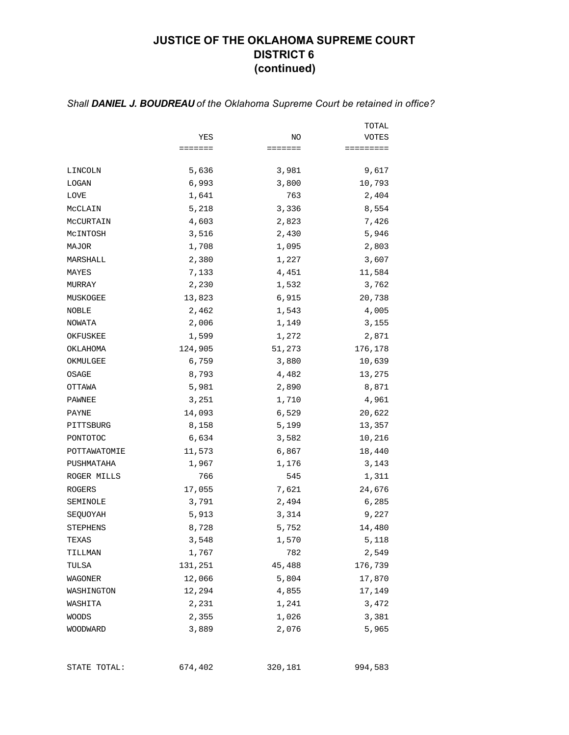# **JUSTICE OF THE OKLAHOMA SUPREME COURT DISTRICT 6 (continued)**

|                 |         |                 | TOTAL     |
|-----------------|---------|-----------------|-----------|
|                 | YES     | NO              | VOTES     |
|                 | ======= | $=$ = = = = = = | ========= |
| LINCOLN         | 5,636   | 3,981           | 9,617     |
| LOGAN           | 6,993   | 3,800           | 10,793    |
| LOVE            | 1,641   | 763             | 2,404     |
| MCCLAIN         | 5,218   | 3,336           | 8,554     |
| MCCURTAIN       | 4,603   | 2,823           | 7,426     |
| MCINTOSH        | 3,516   | 2,430           | 5,946     |
| MAJOR           | 1,708   | 1,095           | 2,803     |
| MARSHALL        | 2,380   | 1,227           | 3,607     |
| MAYES           | 7,133   | 4,451           | 11,584    |
| MURRAY          | 2,230   | 1,532           | 3,762     |
| MUSKOGEE        | 13,823  | 6,915           | 20,738    |
| NOBLE           | 2,462   | 1,543           | 4,005     |
| NOWATA          | 2,006   | 1,149           | 3,155     |
| OKFUSKEE        | 1,599   | 1,272           | 2,871     |
| OKLAHOMA        | 124,905 | 51,273          | 176,178   |
| OKMULGEE        | 6,759   | 3,880           | 10,639    |
| OSAGE           | 8,793   | 4,482           | 13,275    |
| OTTAWA          | 5,981   | 2,890           | 8,871     |
| PAWNEE          | 3,251   | 1,710           | 4,961     |
| PAYNE           | 14,093  | 6,529           | 20,622    |
| PITTSBURG       | 8,158   | 5,199           | 13,357    |
| PONTOTOC        | 6,634   | 3,582           | 10,216    |
| POTTAWATOMIE    | 11,573  | 6,867           | 18,440    |
| PUSHMATAHA      | 1,967   | 1,176           | 3,143     |
| ROGER MILLS     | 766     | 545             | 1,311     |
| ROGERS          | 17,055  | 7,621           | 24,676    |
| SEMINOLE        | 3,791   | 2,494           | 6,285     |
| SEQUOYAH        | 5,913   | 3,314           | 9,227     |
| <b>STEPHENS</b> | 8,728   | 5,752           | 14,480    |
| TEXAS           | 3,548   | 1,570           | 5,118     |
| TILLMAN         | 1,767   | 782             | 2,549     |
| TULSA           | 131,251 | 45,488          | 176,739   |
| WAGONER         | 12,066  | 5,804           | 17,870    |
| WASHINGTON      | 12,294  | 4,855           | 17,149    |
| WASHITA         | 2,231   | 1,241           | 3,472     |
| <b>WOODS</b>    | 2,355   | 1,026           | 3,381     |
| WOODWARD        | 3,889   | 2,076           | 5,965     |
|                 |         |                 |           |

#### *Shall DANIEL J. BOUDREAU of the Oklahoma Supreme Court be retained in office?*

STATE TOTAL: 674,402 320,181 994,583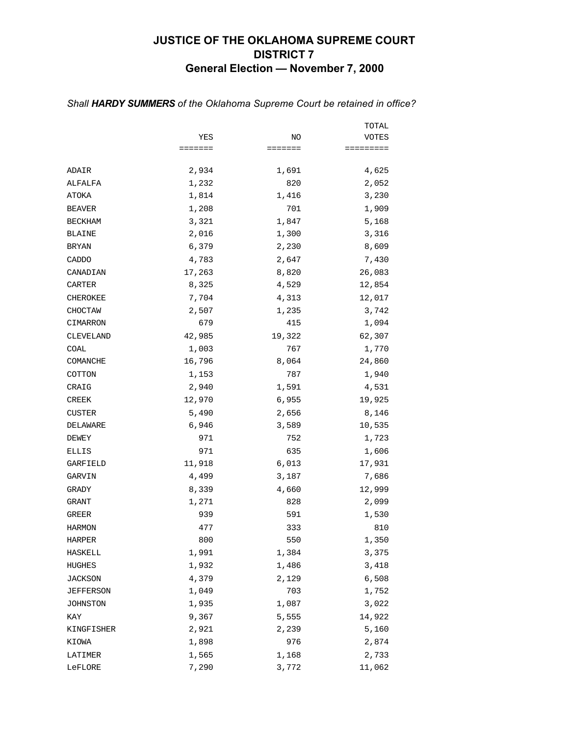## **JUSTICE OF THE OKLAHOMA SUPREME COURT DISTRICT 7 General Election — November 7, 2000**

|                  |         |         | TOTAL     |
|------------------|---------|---------|-----------|
|                  | YES     | NO      | VOTES     |
|                  | ======= | ======= | ========= |
| ADAIR            | 2,934   | 1,691   | 4,625     |
| ALFALFA          | 1,232   | 820     | 2,052     |
| ATOKA            | 1,814   | 1,416   | 3,230     |
| <b>BEAVER</b>    | 1,208   | 701     | 1,909     |
| <b>BECKHAM</b>   | 3,321   | 1,847   | 5,168     |
| <b>BLAINE</b>    | 2,016   | 1,300   | 3,316     |
| <b>BRYAN</b>     | 6,379   | 2,230   | 8,609     |
| CADDO            | 4,783   | 2,647   | 7,430     |
| CANADIAN         | 17,263  | 8,820   | 26,083    |
| CARTER           | 8,325   | 4,529   | 12,854    |
| CHEROKEE         | 7,704   | 4,313   | 12,017    |
| CHOCTAW          | 2,507   | 1,235   | 3,742     |
| CIMARRON         | 679     | 415     | 1,094     |
| CLEVELAND        | 42,985  | 19,322  | 62,307    |
| COAL             | 1,003   | 767     | 1,770     |
| COMANCHE         | 16,796  | 8,064   | 24,860    |
| COTTON           | 1,153   | 787     | 1,940     |
| CRAIG            | 2,940   | 1,591   | 4,531     |
| CREEK            | 12,970  | 6,955   | 19,925    |
| CUSTER           | 5,490   | 2,656   | 8,146     |
| DELAWARE         | 6,946   | 3,589   | 10,535    |
| DEWEY            | 971     | 752     | 1,723     |
| ELLIS            | 971     | 635     | 1,606     |
| GARFIELD         | 11,918  | 6,013   | 17,931    |
| GARVIN           | 4,499   | 3,187   | 7,686     |
| GRADY            | 8,339   | 4,660   | 12,999    |
| GRANT            | 1,271   | 828     | 2,099     |
| GREER            | 939     | 591     | 1,530     |
| <b>HARMON</b>    | 477     | 333     | 810       |
| HARPER           | 800     | 550     | 1,350     |
| HASKELL          | 1,991   | 1,384   | 3,375     |
| HUGHES           | 1,932   | 1,486   | 3,418     |
| <b>JACKSON</b>   | 4,379   | 2,129   | 6,508     |
| <b>JEFFERSON</b> | 1,049   | 703     | 1,752     |
| JOHNSTON         | 1,935   | 1,087   | 3,022     |
| KAY              | 9,367   | 5,555   | 14,922    |
| KINGFISHER       | 2,921   | 2,239   | 5,160     |
| KIOWA            | 1,898   | 976     | 2,874     |
| LATIMER          | 1,565   | 1,168   | 2,733     |
| LeFLORE          | 7,290   | 3,772   | 11,062    |

#### *Shall HARDY SUMMERS of the Oklahoma Supreme Court be retained in office?*